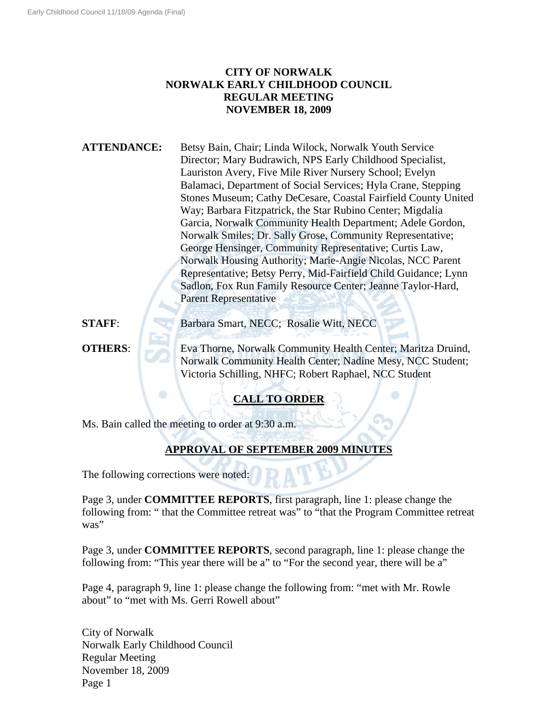# **CITY OF NORWALK NORWALK EARLY CHILDHOOD COUNCIL REGULAR MEETING NOVEMBER 18, 2009**

**ATTENDANCE:** Betsy Bain, Chair; Linda Wilock, Norwalk Youth Service Director; Mary Budrawich, NPS Early Childhood Specialist, Lauriston Avery, Five Mile River Nursery School; Evelyn Balamaci, Department of Social Services; Hyla Crane, Stepping Stones Museum; Cathy DeCesare, Coastal Fairfield County United Way; Barbara Fitzpatrick, the Star Rubino Center; Migdalia Garcia, Norwalk Community Health Department; Adele Gordon, Norwalk Smiles; Dr. Sally Grose, Community Representative; George Hensinger, Community Representative; Curtis Law, Norwalk Housing Authority; Marie-Angie Nicolas, NCC Parent Representative; Betsy Perry, Mid-Fairfield Child Guidance; Lynn Sadlon, Fox Run Family Resource Center; Jeanne Taylor-Hard, Parent Representative

**STAFF:** Barbara Smart, NECC; Rosalie Witt, NECC

**OTHERS:** Eva Thorne, Norwalk Community Health Center; Maritza Druind, Norwalk Community Health Center; Nadine Mesy, NCC Student; Victoria Schilling, NHFC; Robert Raphael, NCC Student

# **CALL TO ORDER**

Ms. Bain called the meeting to order at 9:30 a.m.

# **APPROVAL OF SEPTEMBER 2009 MINUTES**

The following corrections were noted:

Page 3, under **COMMITTEE REPORTS**, first paragraph, line 1: please change the following from: " that the Committee retreat was" to "that the Program Committee retreat was"

Page 3, under **COMMITTEE REPORTS**, second paragraph, line 1: please change the following from: "This year there will be a" to "For the second year, there will be a"

Page 4, paragraph 9, line 1: please change the following from: "met with Mr. Rowle about" to "met with Ms. Gerri Rowell about"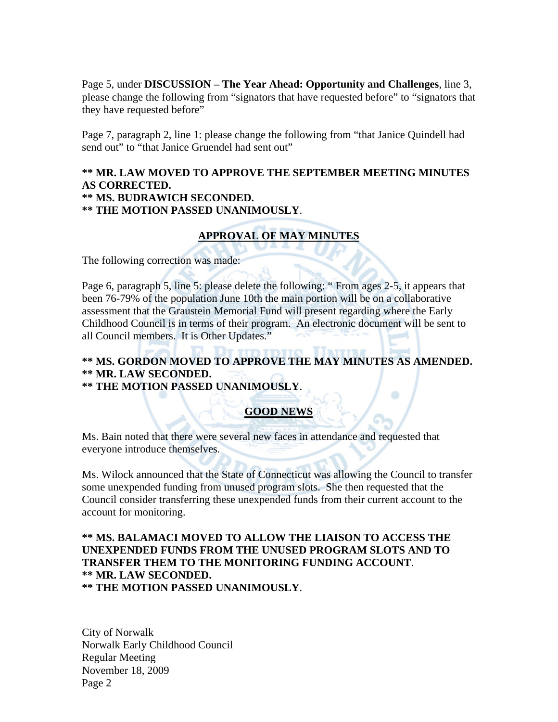Page 5, under **DISCUSSION – The Year Ahead: Opportunity and Challenges**, line 3, please change the following from "signators that have requested before" to "signators that they have requested before"

Page 7, paragraph 2, line 1: please change the following from "that Janice Quindell had send out" to "that Janice Gruendel had sent out"

### **\*\* MR. LAW MOVED TO APPROVE THE SEPTEMBER MEETING MINUTES AS CORRECTED. \*\* MS. BUDRAWICH SECONDED. \*\* THE MOTION PASSED UNANIMOUSLY**.

# **APPROVAL OF MAY MINUTES**

The following correction was made:

Page 6, paragraph 5, line 5: please delete the following: " From ages 2-5, it appears that been 76-79% of the population June 10th the main portion will be on a collaborative assessment that the Graustein Memorial Fund will present regarding where the Early Childhood Council is in terms of their program. An electronic document will be sent to all Council members. It is Other Updates."

# **\*\* MS. GORDON MOVED TO APPROVE THE MAY MINUTES AS AMENDED. \*\* MR. LAW SECONDED.**

**\*\* THE MOTION PASSED UNANIMOUSLY**.

## **GOOD NEWS**

Ms. Bain noted that there were several new faces in attendance and requested that everyone introduce themselves.

Ms. Wilock announced that the State of Connecticut was allowing the Council to transfer some unexpended funding from unused program slots. She then requested that the Council consider transferring these unexpended funds from their current account to the account for monitoring.

## **\*\* MS. BALAMACI MOVED TO ALLOW THE LIAISON TO ACCESS THE UNEXPENDED FUNDS FROM THE UNUSED PROGRAM SLOTS AND TO TRANSFER THEM TO THE MONITORING FUNDING ACCOUNT**. **\*\* MR. LAW SECONDED. \*\* THE MOTION PASSED UNANIMOUSLY**.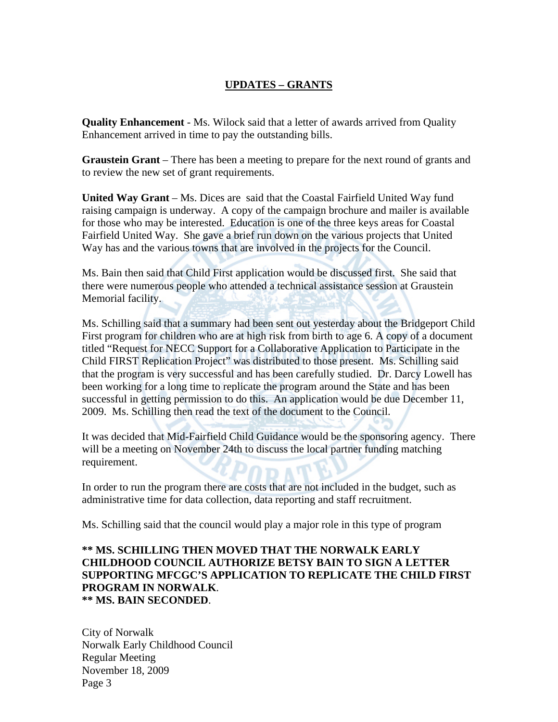# **UPDATES – GRANTS**

**Quality Enhancement** - Ms. Wilock said that a letter of awards arrived from Quality Enhancement arrived in time to pay the outstanding bills.

**Graustein Grant** – There has been a meeting to prepare for the next round of grants and to review the new set of grant requirements.

**United Way Grant** – Ms. Dices are said that the Coastal Fairfield United Way fund raising campaign is underway. A copy of the campaign brochure and mailer is available for those who may be interested. Education is one of the three keys areas for Coastal Fairfield United Way. She gave a brief run down on the various projects that United Way has and the various towns that are involved in the projects for the Council.

Ms. Bain then said that Child First application would be discussed first. She said that there were numerous people who attended a technical assistance session at Graustein Memorial facility.

Ms. Schilling said that a summary had been sent out yesterday about the Bridgeport Child First program for children who are at high risk from birth to age 6. A copy of a document titled "Request for NECC Support for a Collaborative Application to Participate in the Child FIRST Replication Project" was distributed to those present. Ms. Schilling said that the program is very successful and has been carefully studied. Dr. Darcy Lowell has been working for a long time to replicate the program around the State and has been successful in getting permission to do this. An application would be due December 11, 2009. Ms. Schilling then read the text of the document to the Council.

It was decided that Mid-Fairfield Child Guidance would be the sponsoring agency. There will be a meeting on November 24th to discuss the local partner funding matching requirement.

In order to run the program there are costs that are not included in the budget, such as administrative time for data collection, data reporting and staff recruitment.

Ms. Schilling said that the council would play a major role in this type of program

## **\*\* MS. SCHILLING THEN MOVED THAT THE NORWALK EARLY CHILDHOOD COUNCIL AUTHORIZE BETSY BAIN TO SIGN A LETTER SUPPORTING MFCGC'S APPLICATION TO REPLICATE THE CHILD FIRST PROGRAM IN NORWALK**. **\*\* MS. BAIN SECONDED**.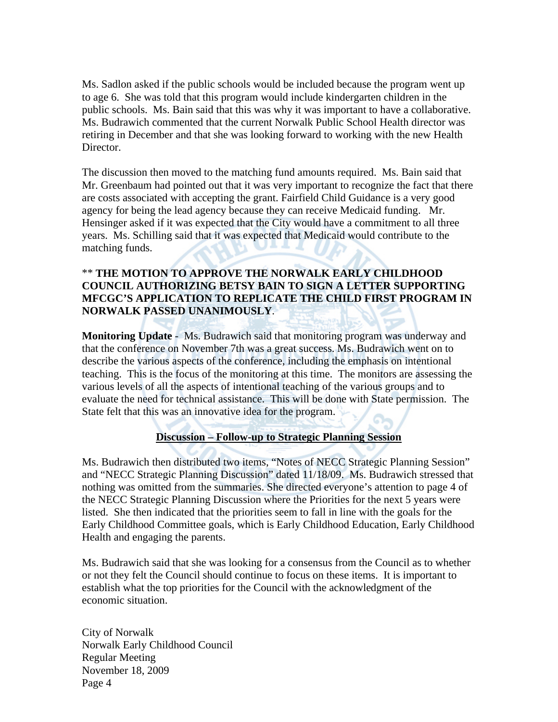Ms. Sadlon asked if the public schools would be included because the program went up to age 6. She was told that this program would include kindergarten children in the public schools. Ms. Bain said that this was why it was important to have a collaborative. Ms. Budrawich commented that the current Norwalk Public School Health director was retiring in December and that she was looking forward to working with the new Health Director.

The discussion then moved to the matching fund amounts required. Ms. Bain said that Mr. Greenbaum had pointed out that it was very important to recognize the fact that there are costs associated with accepting the grant. Fairfield Child Guidance is a very good agency for being the lead agency because they can receive Medicaid funding. Mr. Hensinger asked if it was expected that the City would have a commitment to all three years. Ms. Schilling said that it was expected that Medicaid would contribute to the matching funds.

## \*\* **THE MOTION TO APPROVE THE NORWALK EARLY CHILDHOOD COUNCIL AUTHORIZING BETSY BAIN TO SIGN A LETTER SUPPORTING MFCGC'S APPLICATION TO REPLICATE THE CHILD FIRST PROGRAM IN NORWALK PASSED UNANIMOUSLY**.

**Monitoring Update** - Ms. Budrawich said that monitoring program was underway and that the conference on November 7th was a great success. Ms. Budrawich went on to describe the various aspects of the conference, including the emphasis on intentional teaching. This is the focus of the monitoring at this time. The monitors are assessing the various levels of all the aspects of intentional teaching of the various groups and to evaluate the need for technical assistance. This will be done with State permission. The State felt that this was an innovative idea for the program.

### **Discussion – Follow-up to Strategic Planning Session**

Ms. Budrawich then distributed two items, "Notes of NECC Strategic Planning Session" and "NECC Strategic Planning Discussion" dated 11/18/09. Ms. Budrawich stressed that nothing was omitted from the summaries. She directed everyone's attention to page 4 of the NECC Strategic Planning Discussion where the Priorities for the next 5 years were listed. She then indicated that the priorities seem to fall in line with the goals for the Early Childhood Committee goals, which is Early Childhood Education, Early Childhood Health and engaging the parents.

Ms. Budrawich said that she was looking for a consensus from the Council as to whether or not they felt the Council should continue to focus on these items. It is important to establish what the top priorities for the Council with the acknowledgment of the economic situation.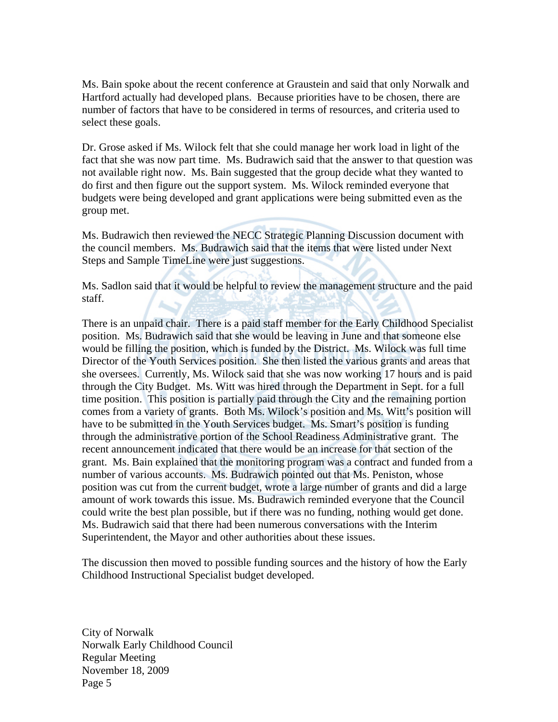Ms. Bain spoke about the recent conference at Graustein and said that only Norwalk and Hartford actually had developed plans. Because priorities have to be chosen, there are number of factors that have to be considered in terms of resources, and criteria used to select these goals.

Dr. Grose asked if Ms. Wilock felt that she could manage her work load in light of the fact that she was now part time. Ms. Budrawich said that the answer to that question was not available right now. Ms. Bain suggested that the group decide what they wanted to do first and then figure out the support system. Ms. Wilock reminded everyone that budgets were being developed and grant applications were being submitted even as the group met.

Ms. Budrawich then reviewed the NECC Strategic Planning Discussion document with the council members. Ms. Budrawich said that the items that were listed under Next Steps and Sample TimeLine were just suggestions.

Ms. Sadlon said that it would be helpful to review the management structure and the paid staff.

There is an unpaid chair. There is a paid staff member for the Early Childhood Specialist position. Ms. Budrawich said that she would be leaving in June and that someone else would be filling the position, which is funded by the District. Ms. Wilock was full time Director of the Youth Services position. She then listed the various grants and areas that she oversees. Currently, Ms. Wilock said that she was now working 17 hours and is paid through the City Budget. Ms. Witt was hired through the Department in Sept. for a full time position. This position is partially paid through the City and the remaining portion comes from a variety of grants. Both Ms. Wilock's position and Ms. Witt's position will have to be submitted in the Youth Services budget. Ms. Smart's position is funding through the administrative portion of the School Readiness Administrative grant. The recent announcement indicated that there would be an increase for that section of the grant. Ms. Bain explained that the monitoring program was a contract and funded from a number of various accounts. Ms. Budrawich pointed out that Ms. Peniston, whose position was cut from the current budget, wrote a large number of grants and did a large amount of work towards this issue. Ms. Budrawich reminded everyone that the Council could write the best plan possible, but if there was no funding, nothing would get done. Ms. Budrawich said that there had been numerous conversations with the Interim Superintendent, the Mayor and other authorities about these issues.

The discussion then moved to possible funding sources and the history of how the Early Childhood Instructional Specialist budget developed.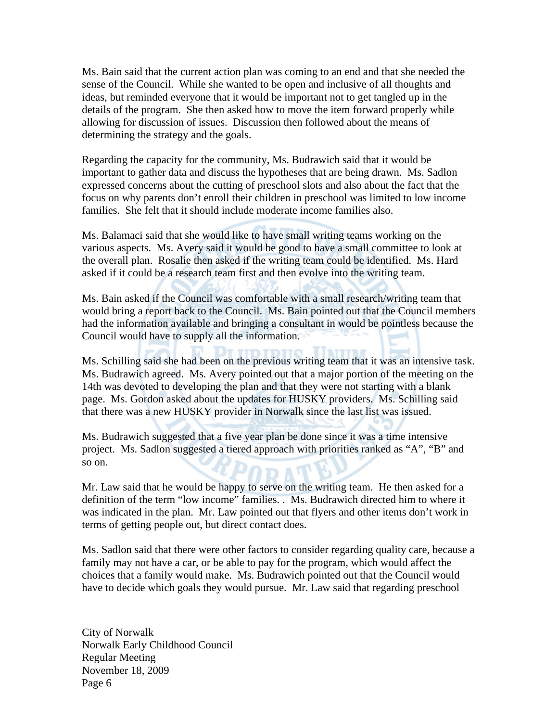Ms. Bain said that the current action plan was coming to an end and that she needed the sense of the Council. While she wanted to be open and inclusive of all thoughts and ideas, but reminded everyone that it would be important not to get tangled up in the details of the program. She then asked how to move the item forward properly while allowing for discussion of issues. Discussion then followed about the means of determining the strategy and the goals.

Regarding the capacity for the community, Ms. Budrawich said that it would be important to gather data and discuss the hypotheses that are being drawn. Ms. Sadlon expressed concerns about the cutting of preschool slots and also about the fact that the focus on why parents don't enroll their children in preschool was limited to low income families. She felt that it should include moderate income families also.

Ms. Balamaci said that she would like to have small writing teams working on the various aspects. Ms. Avery said it would be good to have a small committee to look at the overall plan. Rosalie then asked if the writing team could be identified. Ms. Hard asked if it could be a research team first and then evolve into the writing team.

Ms. Bain asked if the Council was comfortable with a small research/writing team that would bring a report back to the Council. Ms. Bain pointed out that the Council members had the information available and bringing a consultant in would be pointless because the Council would have to supply all the information.

Ms. Schilling said she had been on the previous writing team that it was an intensive task. Ms. Budrawich agreed. Ms. Avery pointed out that a major portion of the meeting on the 14th was devoted to developing the plan and that they were not starting with a blank page. Ms. Gordon asked about the updates for HUSKY providers. Ms. Schilling said that there was a new HUSKY provider in Norwalk since the last list was issued.

Ms. Budrawich suggested that a five year plan be done since it was a time intensive project. Ms. Sadlon suggested a tiered approach with priorities ranked as "A", "B" and so on.

Mr. Law said that he would be happy to serve on the writing team. He then asked for a definition of the term "low income" families. . Ms. Budrawich directed him to where it was indicated in the plan. Mr. Law pointed out that flyers and other items don't work in terms of getting people out, but direct contact does.

Ms. Sadlon said that there were other factors to consider regarding quality care, because a family may not have a car, or be able to pay for the program, which would affect the choices that a family would make. Ms. Budrawich pointed out that the Council would have to decide which goals they would pursue. Mr. Law said that regarding preschool